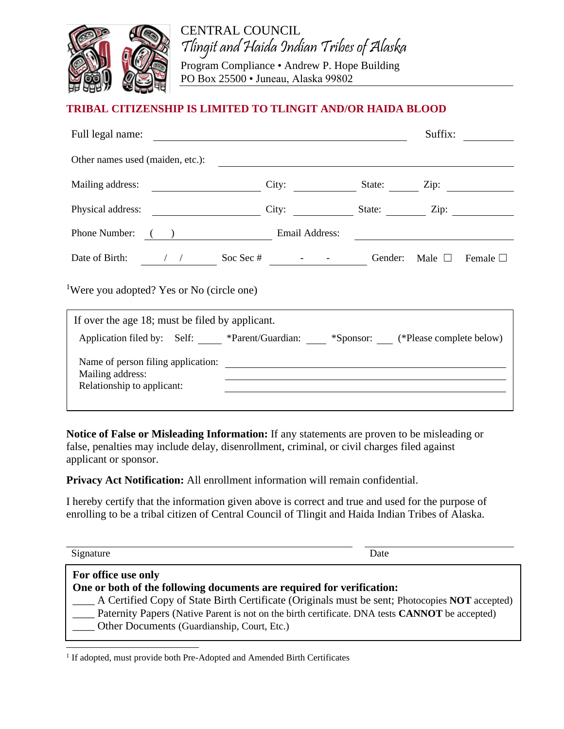

CENTRAL COUNCIL Tlingit and Haida Indian Tribes of Alaska

Program Compliance • Andrew P. Hope Building PO Box 25500 • Juneau, Alaska 99802

## **TRIBAL CITIZENSHIP IS LIMITED TO TLINGIT AND/OR HAIDA BLOOD**

| Full legal name:                                                                        |                                               |                                                                                                                       | Suffix: |  |
|-----------------------------------------------------------------------------------------|-----------------------------------------------|-----------------------------------------------------------------------------------------------------------------------|---------|--|
| Other names used (maiden, etc.):                                                        | <u> 1989 - Andrea Andrew Maria (h. 1989).</u> |                                                                                                                       |         |  |
|                                                                                         |                                               | City: State: Zip:                                                                                                     |         |  |
| Physical address:                                                                       |                                               | City: State: Zip:                                                                                                     |         |  |
| Phone Number: ( ) Email Address:                                                        |                                               | <u> 1989 - Andrea State Barbara, política e a contrar a la contrar de la contrar a la contrar de la contrar de la</u> |         |  |
|                                                                                         |                                               |                                                                                                                       |         |  |
| <sup>1</sup> Were you adopted? Yes or No (circle one)                                   |                                               |                                                                                                                       |         |  |
| If over the age 18; must be filed by applicant.                                         |                                               |                                                                                                                       |         |  |
| Application filed by: Self: *Parent/Guardian: ___ *Sponsor: __ (*Please complete below) |                                               |                                                                                                                       |         |  |
|                                                                                         |                                               |                                                                                                                       |         |  |
| Mailing address:<br>Relationship to applicant:                                          |                                               |                                                                                                                       |         |  |
|                                                                                         |                                               |                                                                                                                       |         |  |

**Notice of False or Misleading Information:** If any statements are proven to be misleading or false, penalties may include delay, disenrollment, criminal, or civil charges filed against applicant or sponsor.

**Privacy Act Notification:** All enrollment information will remain confidential.

I hereby certify that the information given above is correct and true and used for the purpose of enrolling to be a tribal citizen of Central Council of Tlingit and Haida Indian Tribes of Alaska.

| Signature                                                                                                                                                                                                                                                                                                                                              | Date |
|--------------------------------------------------------------------------------------------------------------------------------------------------------------------------------------------------------------------------------------------------------------------------------------------------------------------------------------------------------|------|
| For office use only<br>One or both of the following documents are required for verification:<br>A Certified Copy of State Birth Certificate (Originals must be sent; Photocopies NOT accepted)<br>Paternity Papers (Native Parent is not on the birth certificate. DNA tests <b>CANNOT</b> be accepted)<br>Other Documents (Guardianship, Court, Etc.) |      |

<sup>&</sup>lt;sup>1</sup> If adopted, must provide both Pre-Adopted and Amended Birth Certificates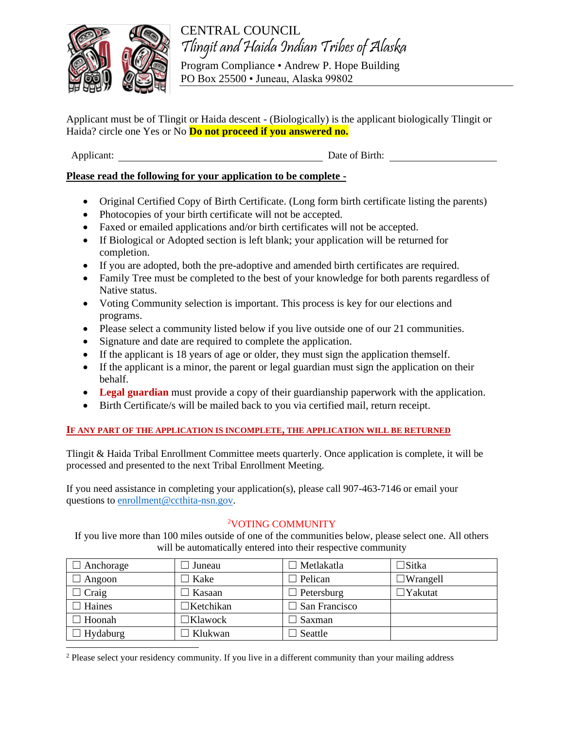

CENTRAL COUNCIL Tlingit and Haida Indian Tribes of Alaska

Program Compliance • Andrew P. Hope Building PO Box 25500 • Juneau, Alaska 99802

Applicant must be of Tlingit or Haida descent - (Biologically) is the applicant biologically Tlingit or Haida? circle one Yes or No **Do not proceed if you answered no.**

Applicant: Date of Birth:

## **Please read the following for your application to be complete -**

- Original Certified Copy of Birth Certificate. (Long form birth certificate listing the parents)
- Photocopies of your birth certificate will not be accepted.
- Faxed or emailed applications and/or birth certificates will not be accepted.
- If Biological or Adopted section is left blank; your application will be returned for completion.
- If you are adopted, both the pre-adoptive and amended birth certificates are required.
- Family Tree must be completed to the best of your knowledge for both parents regardless of Native status.
- Voting Community selection is important. This process is key for our elections and programs.
- Please select a community listed below if you live outside one of our 21 communities.
- Signature and date are required to complete the application.
- If the applicant is 18 years of age or older, they must sign the application themself.
- If the applicant is a minor, the parent or legal guardian must sign the application on their behalf.
- **Legal guardian** must provide a copy of their guardianship paperwork with the application.
- Birth Certificate/s will be mailed back to you via certified mail, return receipt.

## **IF ANY PART OF THE APPLICATION IS INCOMPLETE, THE APPLICATION WILL BE RETURNED**

Tlingit & Haida Tribal Enrollment Committee meets quarterly. Once application is complete, it will be processed and presented to the next Tribal Enrollment Meeting.

If you need assistance in completing your application(s), please call 907-463-7146 or email your questions t[o enrollment@ccthita-nsn.gov.](mailto:enrollment@ccthita-nsn.gov)

## <sup>2</sup>VOTING COMMUNITY

If you live more than 100 miles outside of one of the communities below, please select one. All others will be automatically entered into their respective community

| Anchorage     | Juneau     | Metlakatla    | $\Box$ Sitka      |
|---------------|------------|---------------|-------------------|
| Angoon        | Kake       | Pelican       | $\Box$ Wrangell   |
| $\Box$ Craig  | Kasaan     | Petersburg    | $\exists$ Yakutat |
| $\Box$ Haines | ∃Ketchikan | San Francisco |                   |
| $\Box$ Hoonah | ⊐Klawock   | Saxman        |                   |
| Hydaburg      | Klukwan    | Seattle       |                   |

<sup>2</sup> Please select your residency community. If you live in a different community than your mailing address